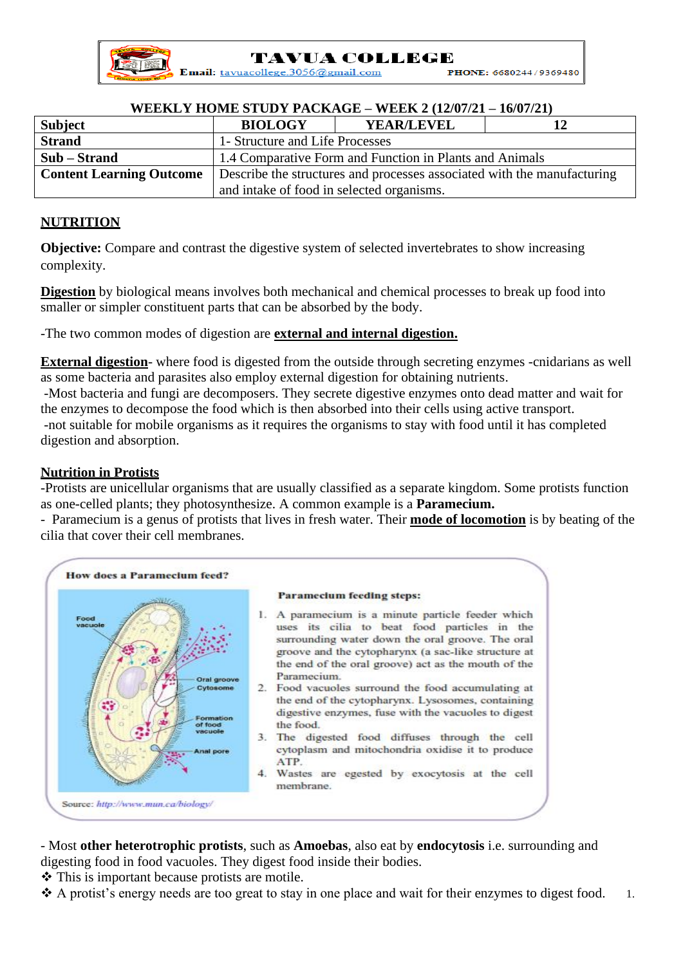**TAVUA COLLEGE** 

Email: tavuacollege.3056@gmail.com PHONE: 6680244/9369480

## **WEEKLY HOME STUDY PACKAGE – WEEK 2 (12/07/21 – 16/07/21)**

| <b>Subject</b>                  | <b>BIOLOGY</b>                                                          | <b>YEAR/LEVEL</b> |  |
|---------------------------------|-------------------------------------------------------------------------|-------------------|--|
| <b>Strand</b>                   | 1- Structure and Life Processes                                         |                   |  |
| Sub – Strand                    | 1.4 Comparative Form and Function in Plants and Animals                 |                   |  |
| <b>Content Learning Outcome</b> | Describe the structures and processes associated with the manufacturing |                   |  |
|                                 | and intake of food in selected organisms.                               |                   |  |

## **NUTRITION**

**Objective:** Compare and contrast the digestive system of selected invertebrates to show increasing complexity.

**Digestion** by biological means involves both mechanical and chemical processes to break up food into smaller or simpler constituent parts that can be absorbed by the body.

-The two common modes of digestion are **external and internal digestion.**

**External digestion**- where food is digested from the outside through secreting enzymes -cnidarians as well as some bacteria and parasites also employ external digestion for obtaining nutrients.

-Most bacteria and fungi are decomposers. They secrete digestive enzymes onto dead matter and wait for the enzymes to decompose the food which is then absorbed into their cells using active transport. -not suitable for mobile organisms as it requires the organisms to stay with food until it has completed digestion and absorption.

## **Nutrition in Protists**

-Protists are unicellular organisms that are usually classified as a separate kingdom. Some protists function as one-celled plants; they photosynthesize. A common example is a **Paramecium.**

- Paramecium is a genus of protists that lives in fresh water. Their **mode of locomotion** is by beating of the cilia that cover their cell membranes.



- Most **other heterotrophic protists**, such as **Amoebas**, also eat by **endocytosis** i.e. surrounding and digesting food in food vacuoles. They digest food inside their bodies.

❖ This is important because protists are motile.

❖ A protist's energy needs are too great to stay in one place and wait for their enzymes to digest food. 1.